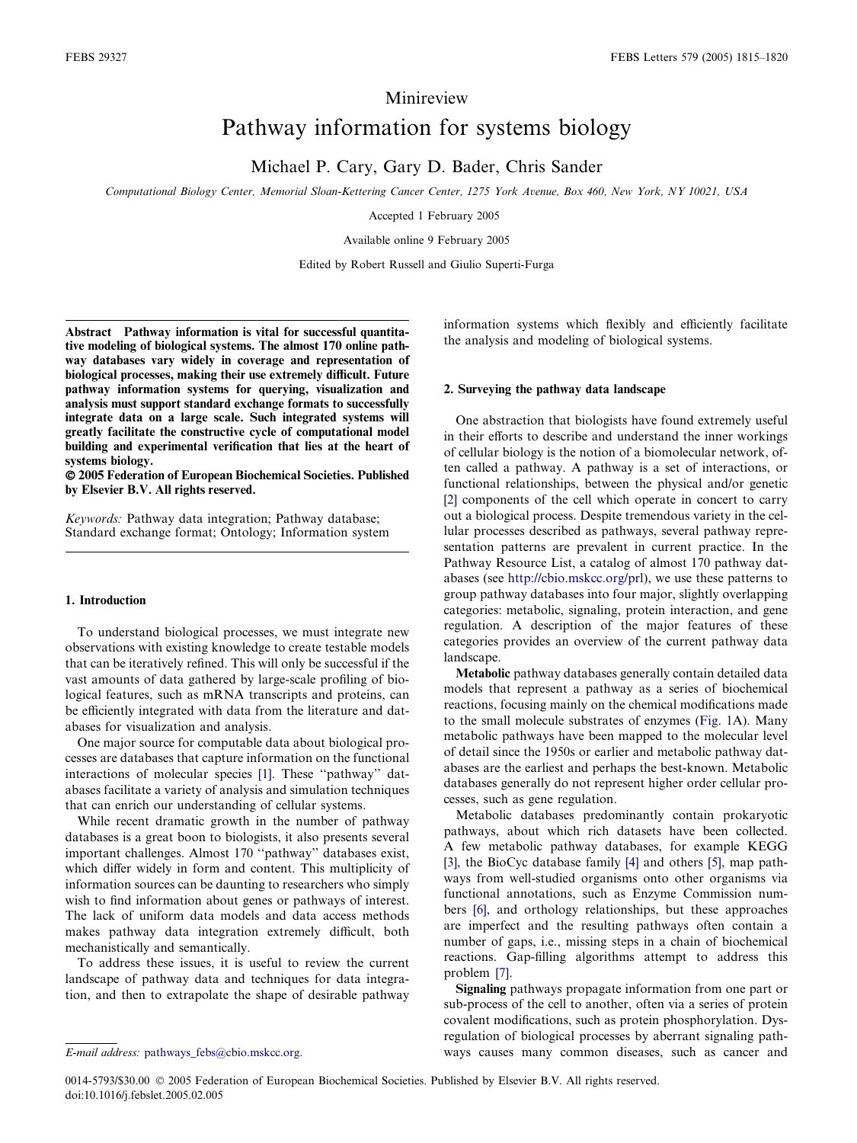# Minireview

# Pathway information for systems biology

Michael P. Cary, Gary D. Bader, Chris Sander

Computational Biology Center, Memorial Sloan-Kettering Cancer Center, 1275 York Avenue, Box 460, New York, NY 10021, USA

Accepted 1 February 2005

Available online 9 February 2005

Edited by Robert Russell and Giulio Superti-Furga

Abstract Pathway information is vital for successful quantitative modeling of biological systems. The almost 170 online pathway databases vary widely in coverage and representation of biological processes, making their use extremely difficult. Future pathway information systems for querying, visualization and analysis must support standard exchange formats to successfully integrate data on a large scale. Such integrated systems will greatly facilitate the constructive cycle of computational model building and experimental verification that lies at the heart of systems biology.

 2005 Federation of European Biochemical Societies. Published by Elsevier B.V. All rights reserved.

Keywords: Pathway data integration; Pathway database; Standard exchange format; Ontology; Information system

#### 1. Introduction

To understand biological processes, we must integrate new observations with existing knowledge to create testable models that can be iteratively refined. This will only be successful if the vast amounts of data gathered by large-scale profiling of biological features, such as mRNA transcripts and proteins, can be efficiently integrated with data from the literature and databases for visualization and analysis.

One major source for computable data about biological processes are databases that capture information on the functional interactions of molecular species [\[1\].](#page-4-0) These ''pathway'' databases facilitate a variety of analysis and simulation techniques that can enrich our understanding of cellular systems.

While recent dramatic growth in the number of pathway databases is a great boon to biologists, it also presents several important challenges. Almost 170 ''pathway'' databases exist, which differ widely in form and content. This multiplicity of information sources can be daunting to researchers who simply wish to find information about genes or pathways of interest. The lack of uniform data models and data access methods makes pathway data integration extremely difficult, both mechanistically and semantically.

To address these issues, it is useful to review the current landscape of pathway data and techniques for data integration, and then to extrapolate the shape of desirable pathway information systems which flexibly and efficiently facilitate the analysis and modeling of biological systems.

## 2. Surveying the pathway data landscape

One abstraction that biologists have found extremely useful in their efforts to describe and understand the inner workings of cellular biology is the notion of a biomolecular network, often called a pathway. A pathway is a set of interactions, or functional relationships, between the physical and/or genetic [\[2\]](#page-4-0) components of the cell which operate in concert to carry out a biological process. Despite tremendous variety in the cellular processes described as pathways, several pathway representation patterns are prevalent in current practice. In the Pathway Resource List, a catalog of almost 170 pathway databases (see [http://cbio.mskcc.org/prl](http://www.biotapestry.org)), we use these patterns to group pathway databases into four major, slightly overlapping categories: metabolic, signaling, protein interaction, and gene regulation. A description of the major features of these categories provides an overview of the current pathway data landscape.

Metabolic pathway databases generally contain detailed data models that represent a pathway as a series of biochemical reactions, focusing mainly on the chemical modifications made to the small molecule substrates of enzymes [\(Fig. 1](#page-1-0)A). Many metabolic pathways have been mapped to the molecular level of detail since the 1950s or earlier and metabolic pathway databases are the earliest and perhaps the best-known. Metabolic databases generally do not represent higher order cellular processes, such as gene regulation.

Metabolic databases predominantly contain prokaryotic pathways, about which rich datasets have been collected. A few metabolic pathway databases, for example KEGG [\[3\],](#page-4-0) the BioCyc database family [\[4\]](#page-4-0) and others [\[5\]](#page-4-0), map pathways from well-studied organisms onto other organisms via functional annotations, such as Enzyme Commission numbers [\[6\]](#page-4-0), and orthology relationships, but these approaches are imperfect and the resulting pathways often contain a number of gaps, i.e., missing steps in a chain of biochemical reactions. Gap-filling algorithms attempt to address this problem [\[7\].](#page-4-0)

Signaling pathways propagate information from one part or sub-process of the cell to another, often via a series of protein covalent modifications, such as protein phosphorylation. Dysregulation of biological processes by aberrant signaling pathE-mail address: [pathways\\_febs@cbio.mskcc.org.](mailto:pathways_febs@cbio.mskcc.org.) ways causes many common diseases, such as cancer and

0014-5793/\$30.00 2005 Federation of European Biochemical Societies. Published by Elsevier B.V. All rights reserved. doi:10.1016/j.febslet.2005.02.005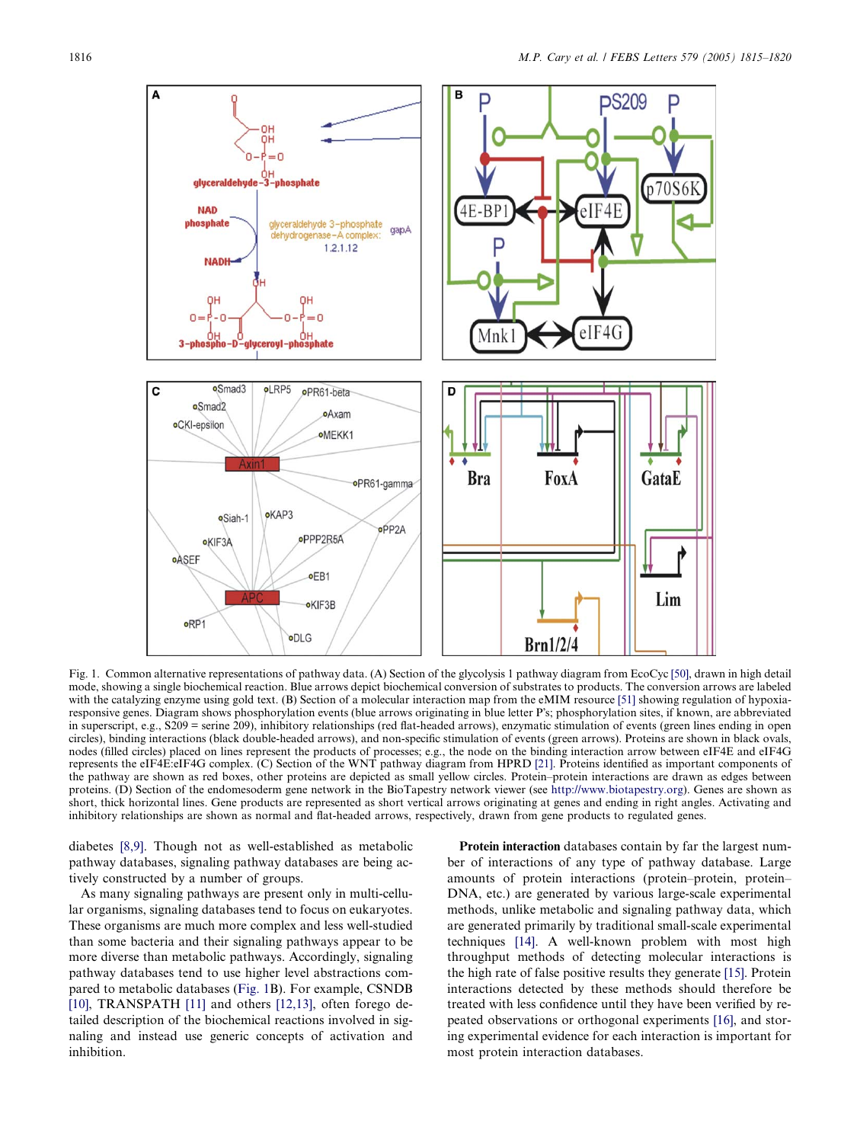<span id="page-1-0"></span>

Fig. 1. Common alternative representations of pathway data. (A) Section of the glycolysis 1 pathway diagram from EcoCyc [\[50\],](#page-5-0) drawn in high detail mode, showing a single biochemical reaction. Blue arrows depict biochemical conversion of substrates to products. The conversion arrows are labeled with the catalyzing enzyme using gold text. (B) Section of a molecular interaction map from the eMIM resource [\[51\]](#page-5-0) showing regulation of hypoxiaresponsive genes. Diagram shows phosphorylation events (blue arrows originating in blue letter Ps; phosphorylation sites, if known, are abbreviated in superscript, e.g., S209 = serine 209), inhibitory relationships (red flat-headed arrows), enzymatic stimulation of events (green lines ending in open circles), binding interactions (black double-headed arrows), and non-specific stimulation of events (green arrows). Proteins are shown in black ovals, nodes (filled circles) placed on lines represent the products of processes; e.g., the node on the binding interaction arrow between eIF4E and eIF4G represents the eIF4E:eIF4G complex. (C) Section of the WNT pathway diagram from HPRD [\[21\]](#page-4-0). Proteins identified as important components of the pathway are shown as red boxes, other proteins are depicted as small yellow circles. Protein–protein interactions are drawn as edges between proteins. (D) Section of the endomesoderm gene network in the BioTapestry network viewer (see [http://www.biotapestry.org\)](http://www.biotapestry.org). Genes are shown as short, thick horizontal lines. Gene products are represented as short vertical arrows originating at genes and ending in right angles. Activating and inhibitory relationships are shown as normal and flat-headed arrows, respectively, drawn from gene products to regulated genes.

diabetes [\[8,9\].](#page-4-0) Though not as well-established as metabolic pathway databases, signaling pathway databases are being actively constructed by a number of groups.

As many signaling pathways are present only in multi-cellular organisms, signaling databases tend to focus on eukaryotes. These organisms are much more complex and less well-studied than some bacteria and their signaling pathways appear to be more diverse than metabolic pathways. Accordingly, signaling pathway databases tend to use higher level abstractions compared to metabolic databases (Fig. 1B). For example, CSNDB [\[10\],](#page-4-0) TRANSPATH [\[11\]](#page-4-0) and others [\[12,13\]](#page-4-0), often forego detailed description of the biochemical reactions involved in signaling and instead use generic concepts of activation and inhibition.

Protein interaction databases contain by far the largest number of interactions of any type of pathway database. Large amounts of protein interactions (protein–protein, protein– DNA, etc.) are generated by various large-scale experimental methods, unlike metabolic and signaling pathway data, which are generated primarily by traditional small-scale experimental techniques [\[14\].](#page-4-0) A well-known problem with most high throughput methods of detecting molecular interactions is the high rate of false positive results they generate [\[15\]](#page-4-0). Protein interactions detected by these methods should therefore be treated with less confidence until they have been verified by repeated observations or orthogonal experiments [\[16\],](#page-4-0) and storing experimental evidence for each interaction is important for most protein interaction databases.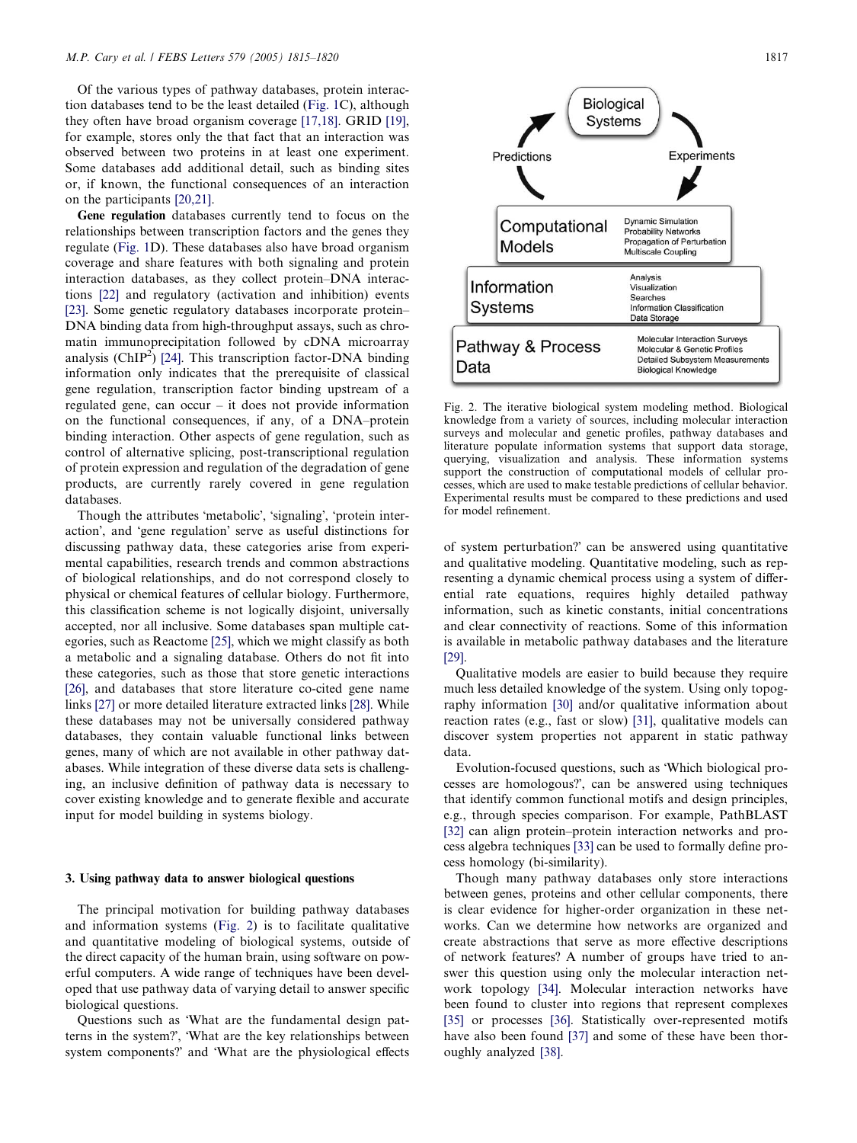Of the various types of pathway databases, protein interaction databases tend to be the least detailed ([Fig. 1C](#page-1-0)), although they often have broad organism coverage [\[17,18\].](#page-4-0) GRID [\[19\]](#page-4-0), for example, stores only the that fact that an interaction was observed between two proteins in at least one experiment. Some databases add additional detail, such as binding sites or, if known, the functional consequences of an interaction on the participants [\[20,21\].](#page-4-0)

Gene regulation databases currently tend to focus on the relationships between transcription factors and the genes they regulate ([Fig. 1](#page-1-0)D). These databases also have broad organism coverage and share features with both signaling and protein interaction databases, as they collect protein–DNA interactions [\[22\]](#page-4-0) and regulatory (activation and inhibition) events [\[23\]](#page-4-0). Some genetic regulatory databases incorporate protein– DNA binding data from high-throughput assays, such as chromatin immunoprecipitation followed by cDNA microarray analysis ( $ChIP<sup>2</sup>$ ) [\[24\].](#page-4-0) This transcription factor-DNA binding information only indicates that the prerequisite of classical gene regulation, transcription factor binding upstream of a regulated gene, can occur – it does not provide information on the functional consequences, if any, of a DNA–protein binding interaction. Other aspects of gene regulation, such as control of alternative splicing, post-transcriptional regulation of protein expression and regulation of the degradation of gene products, are currently rarely covered in gene regulation databases.

Though the attributes 'metabolic', 'signaling', 'protein interaction', and 'gene regulation' serve as useful distinctions for discussing pathway data, these categories arise from experimental capabilities, research trends and common abstractions of biological relationships, and do not correspond closely to physical or chemical features of cellular biology. Furthermore, this classification scheme is not logically disjoint, universally accepted, nor all inclusive. Some databases span multiple categories, such as Reactome [\[25\]](#page-4-0), which we might classify as both a metabolic and a signaling database. Others do not fit into these categories, such as those that store genetic interactions [\[26\]](#page-4-0), and databases that store literature co-cited gene name links [\[27\]](#page-4-0) or more detailed literature extracted links [\[28\]](#page-4-0). While these databases may not be universally considered pathway databases, they contain valuable functional links between genes, many of which are not available in other pathway databases. While integration of these diverse data sets is challenging, an inclusive definition of pathway data is necessary to cover existing knowledge and to generate flexible and accurate input for model building in systems biology.

#### 3. Using pathway data to answer biological questions

The principal motivation for building pathway databases and information systems (Fig. 2) is to facilitate qualitative and quantitative modeling of biological systems, outside of the direct capacity of the human brain, using software on powerful computers. A wide range of techniques have been developed that use pathway data of varying detail to answer specific biological questions.

Questions such as 'What are the fundamental design patterns in the system?', 'What are the key relationships between system components?' and 'What are the physiological effects



Fig. 2. The iterative biological system modeling method. Biological knowledge from a variety of sources, including molecular interaction surveys and molecular and genetic profiles, pathway databases and literature populate information systems that support data storage, querying, visualization and analysis. These information systems support the construction of computational models of cellular processes, which are used to make testable predictions of cellular behavior. Experimental results must be compared to these predictions and used for model refinement.

of system perturbation? can be answered using quantitative and qualitative modeling. Quantitative modeling, such as representing a dynamic chemical process using a system of differential rate equations, requires highly detailed pathway information, such as kinetic constants, initial concentrations and clear connectivity of reactions. Some of this information is available in metabolic pathway databases and the literature [\[29\]](#page-5-0).

Qualitative models are easier to build because they require much less detailed knowledge of the system. Using only topography information [\[30\]](#page-5-0) and/or qualitative information about reaction rates (e.g., fast or slow) [\[31\],](#page-5-0) qualitative models can discover system properties not apparent in static pathway data.

Evolution-focused questions, such as 'Which biological processes are homologous?, can be answered using techniques that identify common functional motifs and design principles, e.g., through species comparison. For example, PathBLAST [\[32\]](#page-5-0) can align protein–protein interaction networks and process algebra techniques [\[33\]](#page-5-0) can be used to formally define process homology (bi-similarity).

Though many pathway databases only store interactions between genes, proteins and other cellular components, there is clear evidence for higher-order organization in these networks. Can we determine how networks are organized and create abstractions that serve as more effective descriptions of network features? A number of groups have tried to answer this question using only the molecular interaction network topology [\[34\].](#page-5-0) Molecular interaction networks have been found to cluster into regions that represent complexes [\[35\]](#page-5-0) or processes [\[36\]](#page-5-0). Statistically over-represented motifs have also been found [\[37\]](#page-5-0) and some of these have been thoroughly analyzed [\[38\]](#page-5-0).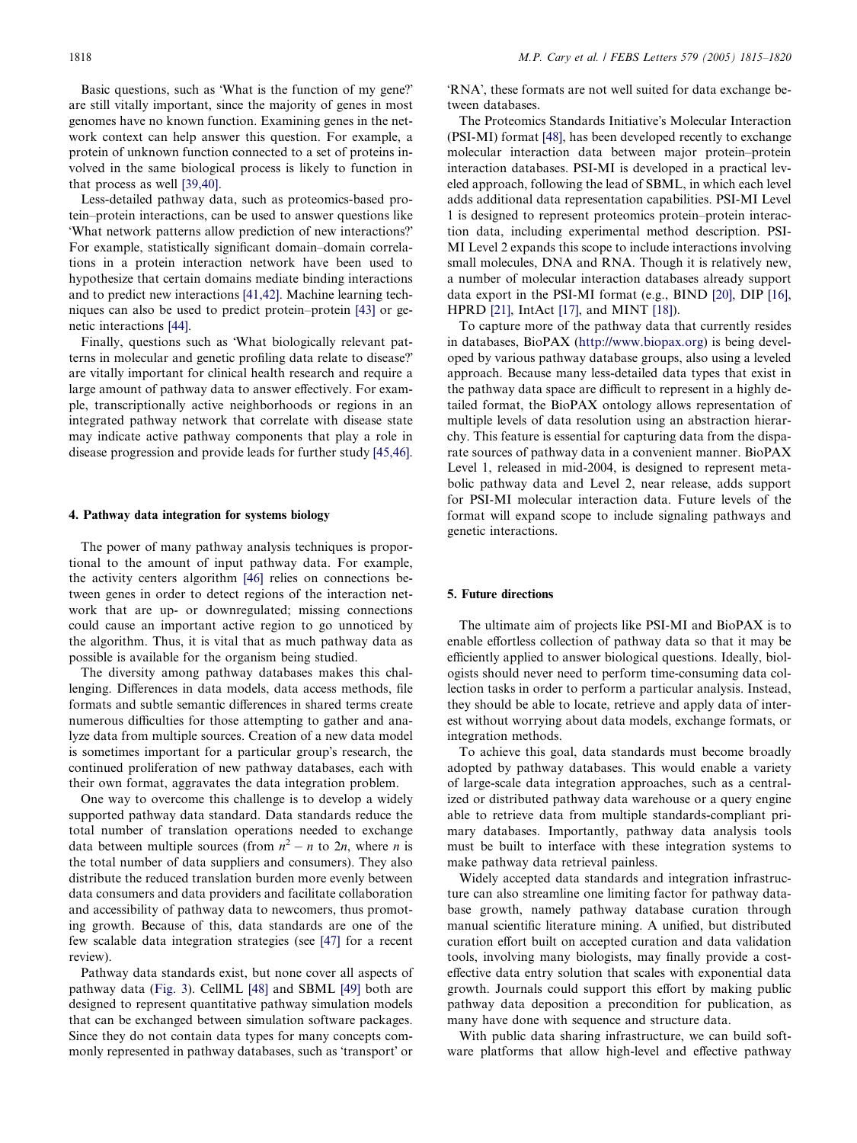Basic questions, such as 'What is the function of my gene?' are still vitally important, since the majority of genes in most genomes have no known function. Examining genes in the network context can help answer this question. For example, a protein of unknown function connected to a set of proteins involved in the same biological process is likely to function in that process as well [\[39,40\].](#page-5-0)

Less-detailed pathway data, such as proteomics-based protein–protein interactions, can be used to answer questions like -What network patterns allow prediction of new interactions? For example, statistically significant domain–domain correlations in a protein interaction network have been used to hypothesize that certain domains mediate binding interactions and to predict new interactions [\[41,42\]](#page-5-0). Machine learning techniques can also be used to predict protein–protein [\[43\]](#page-5-0) or genetic interactions [\[44\].](#page-5-0)

Finally, questions such as 'What biologically relevant patterns in molecular and genetic profiling data relate to disease? are vitally important for clinical health research and require a large amount of pathway data to answer effectively. For example, transcriptionally active neighborhoods or regions in an integrated pathway network that correlate with disease state may indicate active pathway components that play a role in disease progression and provide leads for further study [\[45,46\]](#page-5-0).

#### 4. Pathway data integration for systems biology

The power of many pathway analysis techniques is proportional to the amount of input pathway data. For example, the activity centers algorithm [\[46\]](#page-5-0) relies on connections between genes in order to detect regions of the interaction network that are up- or downregulated; missing connections could cause an important active region to go unnoticed by the algorithm. Thus, it is vital that as much pathway data as possible is available for the organism being studied.

The diversity among pathway databases makes this challenging. Differences in data models, data access methods, file formats and subtle semantic differences in shared terms create numerous difficulties for those attempting to gather and analyze data from multiple sources. Creation of a new data model is sometimes important for a particular group's research, the continued proliferation of new pathway databases, each with their own format, aggravates the data integration problem.

One way to overcome this challenge is to develop a widely supported pathway data standard. Data standards reduce the total number of translation operations needed to exchange data between multiple sources (from  $n^2 - n$  to  $2n$ , where *n* is the total number of data suppliers and consumers). They also distribute the reduced translation burden more evenly between data consumers and data providers and facilitate collaboration and accessibility of pathway data to newcomers, thus promoting growth. Because of this, data standards are one of the few scalable data integration strategies (see [\[47\]](#page-5-0) for a recent review).

Pathway data standards exist, but none cover all aspects of pathway data [\(Fig. 3](#page-4-0)). CellML [\[48\]](#page-5-0) and SBML [\[49\]](#page-5-0) both are designed to represent quantitative pathway simulation models that can be exchanged between simulation software packages. Since they do not contain data types for many concepts commonly represented in pathway databases, such as 'transport' or

'RNA', these formats are not well suited for data exchange between databases.

The Proteomics Standards Initiative's Molecular Interaction (PSI-MI) format [\[48\],](#page-5-0) has been developed recently to exchange molecular interaction data between major protein–protein interaction databases. PSI-MI is developed in a practical leveled approach, following the lead of SBML, in which each level adds additional data representation capabilities. PSI-MI Level 1 is designed to represent proteomics protein–protein interaction data, including experimental method description. PSI-MI Level 2 expands this scope to include interactions involving small molecules, DNA and RNA. Though it is relatively new, a number of molecular interaction databases already support data export in the PSI-MI format (e.g., BIND [\[20\],](#page-4-0) DIP [\[16\]](#page-4-0), HPRD [\[21\],](#page-4-0) IntAct [\[17\]](#page-4-0), and MINT [\[18\]](#page-4-0)).

To capture more of the pathway data that currently resides in databases, BioPAX [\(http://www.biopax.org\)](http://www.biopax.org) is being developed by various pathway database groups, also using a leveled approach. Because many less-detailed data types that exist in the pathway data space are difficult to represent in a highly detailed format, the BioPAX ontology allows representation of multiple levels of data resolution using an abstraction hierarchy. This feature is essential for capturing data from the disparate sources of pathway data in a convenient manner. BioPAX Level 1, released in mid-2004, is designed to represent metabolic pathway data and Level 2, near release, adds support for PSI-MI molecular interaction data. Future levels of the format will expand scope to include signaling pathways and genetic interactions.

### 5. Future directions

The ultimate aim of projects like PSI-MI and BioPAX is to enable effortless collection of pathway data so that it may be efficiently applied to answer biological questions. Ideally, biologists should never need to perform time-consuming data collection tasks in order to perform a particular analysis. Instead, they should be able to locate, retrieve and apply data of interest without worrying about data models, exchange formats, or integration methods.

To achieve this goal, data standards must become broadly adopted by pathway databases. This would enable a variety of large-scale data integration approaches, such as a centralized or distributed pathway data warehouse or a query engine able to retrieve data from multiple standards-compliant primary databases. Importantly, pathway data analysis tools must be built to interface with these integration systems to make pathway data retrieval painless.

Widely accepted data standards and integration infrastructure can also streamline one limiting factor for pathway database growth, namely pathway database curation through manual scientific literature mining. A unified, but distributed curation effort built on accepted curation and data validation tools, involving many biologists, may finally provide a costeffective data entry solution that scales with exponential data growth. Journals could support this effort by making public pathway data deposition a precondition for publication, as many have done with sequence and structure data.

With public data sharing infrastructure, we can build software platforms that allow high-level and effective pathway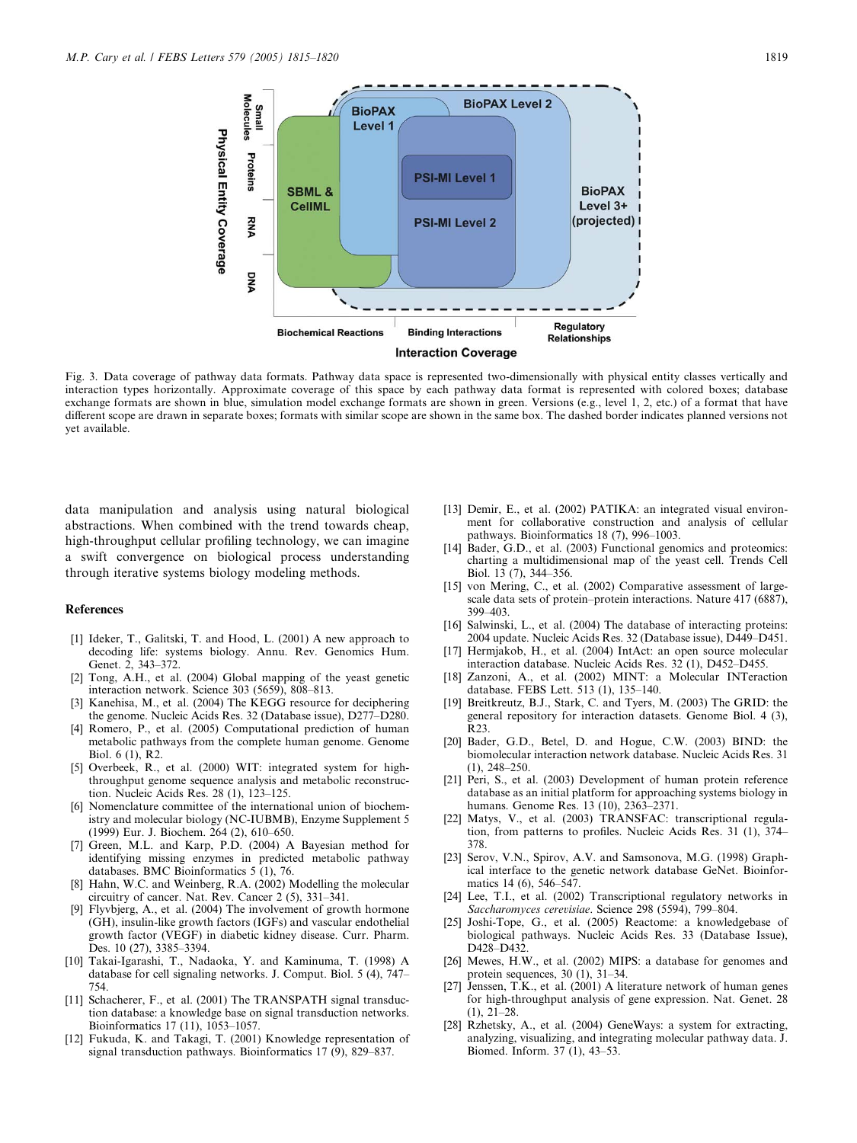<span id="page-4-0"></span>

Fig. 3. Data coverage of pathway data formats. Pathway data space is represented two-dimensionally with physical entity classes vertically and interaction types horizontally. Approximate coverage of this space by each pathway data format is represented with colored boxes; database exchange formats are shown in blue, simulation model exchange formats are shown in green. Versions (e.g., level 1, 2, etc.) of a format that have different scope are drawn in separate boxes; formats with similar scope are shown in the same box. The dashed border indicates planned versions not yet available.

data manipulation and analysis using natural biological abstractions. When combined with the trend towards cheap, high-throughput cellular profiling technology, we can imagine a swift convergence on biological process understanding through iterative systems biology modeling methods.

#### References

- [1] Ideker, T., Galitski, T. and Hood, L. (2001) A new approach to decoding life: systems biology. Annu. Rev. Genomics Hum. Genet. 2, 343–372.
- [2] Tong, A.H., et al. (2004) Global mapping of the yeast genetic interaction network. Science 303 (5659), 808–813.
- [3] Kanehisa, M., et al. (2004) The KEGG resource for deciphering the genome. Nucleic Acids Res. 32 (Database issue), D277–D280.
- [4] Romero, P., et al. (2005) Computational prediction of human metabolic pathways from the complete human genome. Genome Biol. 6 (1), R2.
- [5] Overbeek, R., et al. (2000) WIT: integrated system for highthroughput genome sequence analysis and metabolic reconstruction. Nucleic Acids Res. 28 (1), 123–125.
- [6] Nomenclature committee of the international union of biochemistry and molecular biology (NC-IUBMB), Enzyme Supplement 5 (1999) Eur. J. Biochem. 264 (2), 610–650.
- Green, M.L. and Karp, P.D. (2004) A Bayesian method for identifying missing enzymes in predicted metabolic pathway databases. BMC Bioinformatics 5 (1), 76.
- [8] Hahn, W.C. and Weinberg, R.A. (2002) Modelling the molecular circuitry of cancer. Nat. Rev. Cancer 2 (5), 331–341.
- [9] Flyvbjerg, A., et al. (2004) The involvement of growth hormone (GH), insulin-like growth factors (IGFs) and vascular endothelial growth factor (VEGF) in diabetic kidney disease. Curr. Pharm. Des. 10 (27), 3385–3394.
- [10] Takai-Igarashi, T., Nadaoka, Y. and Kaminuma, T. (1998) A database for cell signaling networks. J. Comput. Biol. 5 (4), 747– 754.
- [11] Schacherer, F., et al. (2001) The TRANSPATH signal transduction database: a knowledge base on signal transduction networks. Bioinformatics 17 (11), 1053–1057.
- [12] Fukuda, K. and Takagi, T. (2001) Knowledge representation of signal transduction pathways. Bioinformatics  $17$  (9), 829–837.
- [13] Demir, E., et al. (2002) PATIKA: an integrated visual environment for collaborative construction and analysis of cellular pathways. Bioinformatics 18 (7), 996–1003.
- [14] Bader, G.D., et al. (2003) Functional genomics and proteomics: charting a multidimensional map of the yeast cell. Trends Cell Biol. 13 (7), 344–356.
- [15] von Mering, C., et al. (2002) Comparative assessment of largescale data sets of protein–protein interactions. Nature 417 (6887), 399–403.
- [16] Salwinski, L., et al. (2004) The database of interacting proteins: 2004 update. Nucleic Acids Res. 32 (Database issue), D449–D451.
- [17] Hermjakob, H., et al. (2004) IntAct: an open source molecular interaction database. Nucleic Acids Res. 32 (1), D452–D455.
- [18] Zanzoni, A., et al. (2002) MINT: a Molecular INTeraction database. FEBS Lett. 513 (1), 135–140.
- [19] Breitkreutz, B.J., Stark, C. and Tyers, M. (2003) The GRID: the general repository for interaction datasets. Genome Biol. 4 (3), R23.
- [20] Bader, G.D., Betel, D. and Hogue, C.W. (2003) BIND: the biomolecular interaction network database. Nucleic Acids Res. 31 (1), 248–250.
- [21] Peri, S., et al. (2003) Development of human protein reference database as an initial platform for approaching systems biology in humans. Genome Res. 13 (10), 2363–2371.
- [22] Matys, V., et al. (2003) TRANSFAC: transcriptional regulation, from patterns to profiles. Nucleic Acids Res. 31 (1), 374– 378.
- [23] Serov, V.N., Spirov, A.V. and Samsonova, M.G. (1998) Graphical interface to the genetic network database GeNet. Bioinformatics 14 (6), 546–547.
- [24] Lee, T.I., et al. (2002) Transcriptional regulatory networks in Saccharomyces cerevisiae. Science 298 (5594), 799–804.
- [25] Joshi-Tope, G., et al. (2005) Reactome: a knowledgebase of biological pathways. Nucleic Acids Res. 33 (Database Issue), D<sub>428</sub>-D<sub>432</sub>.
- [26] Mewes, H.W., et al. (2002) MIPS: a database for genomes and protein sequences, 30 (1), 31–34.
- [27] Jenssen, T.K., et al.  $(2001)$  A literature network of human genes for high-throughput analysis of gene expression. Nat. Genet. 28 (1), 21–28.
- [28] Rzhetsky, A., et al. (2004) GeneWays: a system for extracting, analyzing, visualizing, and integrating molecular pathway data. J. Biomed. Inform. 37 (1), 43–53.